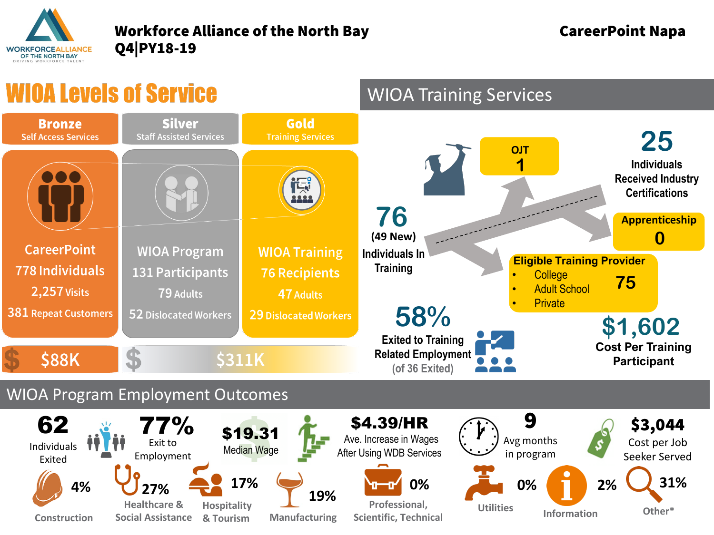

## Workforce Alliance of the North Bay **CareerPoint Napa** Q4|PY18-19